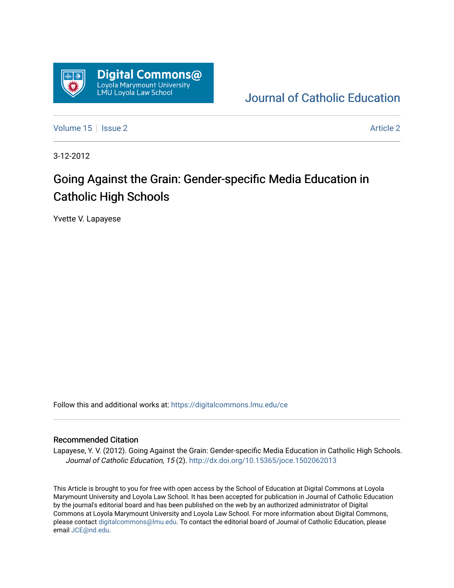

[Journal of Catholic Education](https://digitalcommons.lmu.edu/ce) 

[Volume 15](https://digitalcommons.lmu.edu/ce/vol15) Setsue 2 [Article 2](https://digitalcommons.lmu.edu/ce/vol15/iss2/2) Article 2 Article 2 Article 2 Article 2 Article 2 Article 2

3-12-2012

# Going Against the Grain: Gender-specific Media Education in Catholic High Schools

Yvette V. Lapayese

Follow this and additional works at: [https://digitalcommons.lmu.edu/ce](https://digitalcommons.lmu.edu/ce?utm_source=digitalcommons.lmu.edu%2Fce%2Fvol15%2Fiss2%2F2&utm_medium=PDF&utm_campaign=PDFCoverPages)

#### Recommended Citation

Lapayese, Y. V. (2012). Going Against the Grain: Gender-specific Media Education in Catholic High Schools. Journal of Catholic Education, 15 (2).<http://dx.doi.org/10.15365/joce.1502062013>

This Article is brought to you for free with open access by the School of Education at Digital Commons at Loyola Marymount University and Loyola Law School. It has been accepted for publication in Journal of Catholic Education by the journal's editorial board and has been published on the web by an authorized administrator of Digital Commons at Loyola Marymount University and Loyola Law School. For more information about Digital Commons, please contact [digitalcommons@lmu.edu](mailto:digitalcommons@lmu.edu). To contact the editorial board of Journal of Catholic Education, please email [JCE@nd.edu](mailto:JCE@nd.edu).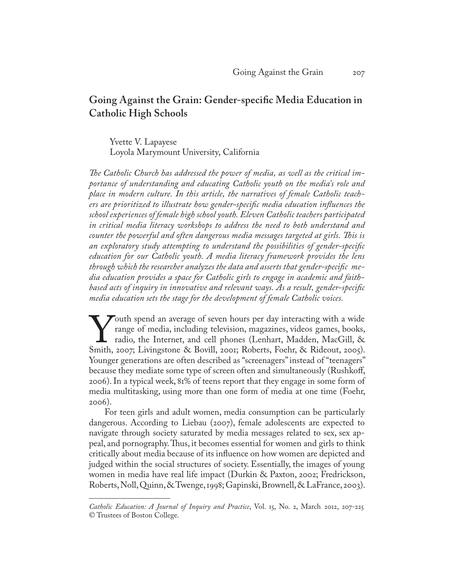## **Going Against the Grain: Gender-specific Media Education in Catholic High Schools**

Yvette V. Lapayese Loyola Marymount University, California

*The Catholic Church has addressed the power of media, as well as the critical importance of understanding and educating Catholic youth on the media's role and place in modern culture. In this article, the narratives of female Catholic teachers are prioritized to illustrate how gender-specific media education influences the school experiences of female high school youth. Eleven Catholic teachers participated in critical media literacy workshops to address the need to both understand and counter the powerful and often dangerous media messages targeted at girls. This is an exploratory study attempting to understand the possibilities of gender-specific education for our Catholic youth. A media literacy framework provides the lens through which the researcher analyzes the data and asserts that gender-specific media education provides a space for Catholic girls to engage in academic and faithbased acts of inquiry in innovative and relevant ways. As a result, gender-specific media education sets the stage for the development of female Catholic voices.*

Youth spend an average of seven hours per day interacting with a wide<br>range of media, including television, magazines, videos games, books,<br>radio, the Internet, and cell phones (Lenhart, Madden, MacGill, &<br>Smith, 2007; Liv range of media, including television, magazines, videos games, books, radio, the Internet, and cell phones (Lenhart, Madden, MacGill, & Smith, 2007; Livingstone & Bovill, 2001; Roberts, Foehr, & Rideout, 2005). Younger generations are often described as "screenagers" instead of "teenagers" because they mediate some type of screen often and simultaneously (Rushkoff, 2006). In a typical week, 81% of teens report that they engage in some form of media multitasking, using more than one form of media at one time (Foehr, 2006).

For teen girls and adult women, media consumption can be particularly dangerous. According to Liebau (2007), female adolescents are expected to navigate through society saturated by media messages related to sex, sex appeal, and pornography. Thus, it becomes essential for women and girls to think critically about media because of its influence on how women are depicted and judged within the social structures of society. Essentially, the images of young women in media have real life impact (Durkin & Paxton, 2002; Fredrickson, Roberts, Noll, Quinn, & Twenge, 1998; Gapinski, Brownell, & LaFrance, 2003).

*Catholic Education: A Journal of Inquiry and Practice*, Vol. 15, No. 2, March 2012, 207-225 © Trustees of Boston College.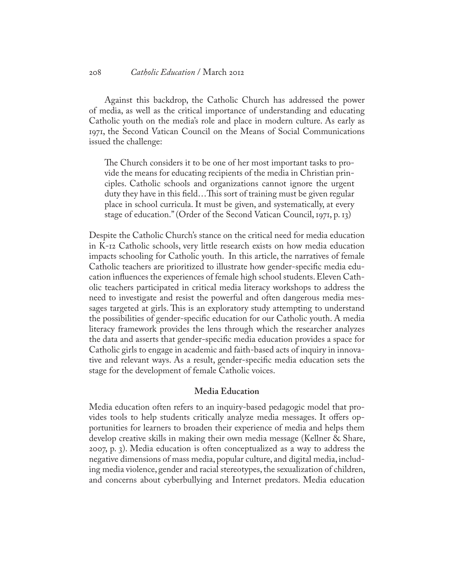Against this backdrop, the Catholic Church has addressed the power of media, as well as the critical importance of understanding and educating Catholic youth on the media's role and place in modern culture. As early as 1971, the Second Vatican Council on the Means of Social Communications issued the challenge:

The Church considers it to be one of her most important tasks to provide the means for educating recipients of the media in Christian principles. Catholic schools and organizations cannot ignore the urgent duty they have in this field…This sort of training must be given regular place in school curricula. It must be given, and systematically, at every stage of education." (Order of the Second Vatican Council, 1971, p. 13)

Despite the Catholic Church's stance on the critical need for media education in K-12 Catholic schools, very little research exists on how media education impacts schooling for Catholic youth. In this article, the narratives of female Catholic teachers are prioritized to illustrate how gender-specific media education influences the experiences of female high school students. Eleven Catholic teachers participated in critical media literacy workshops to address the need to investigate and resist the powerful and often dangerous media messages targeted at girls. This is an exploratory study attempting to understand the possibilities of gender-specific education for our Catholic youth. A media literacy framework provides the lens through which the researcher analyzes the data and asserts that gender-specific media education provides a space for Catholic girls to engage in academic and faith-based acts of inquiry in innovative and relevant ways. As a result, gender-specific media education sets the stage for the development of female Catholic voices.

## **Media Education**

Media education often refers to an inquiry-based pedagogic model that provides tools to help students critically analyze media messages. It offers opportunities for learners to broaden their experience of media and helps them develop creative skills in making their own media message (Kellner & Share, 2007, p. 3). Media education is often conceptualized as a way to address the negative dimensions of mass media, popular culture, and digital media, including media violence, gender and racial stereotypes, the sexualization of children, and concerns about cyberbullying and Internet predators. Media education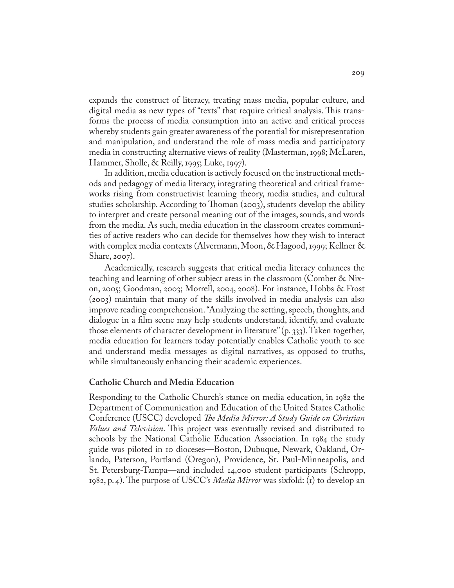expands the construct of literacy, treating mass media, popular culture, and digital media as new types of "texts" that require critical analysis. This transforms the process of media consumption into an active and critical process whereby students gain greater awareness of the potential for misrepresentation and manipulation, and understand the role of mass media and participatory media in constructing alternative views of reality (Masterman, 1998; McLaren, Hammer, Sholle, & Reilly, 1995; Luke, 1997).

In addition, media education is actively focused on the instructional methods and pedagogy of media literacy, integrating theoretical and critical frameworks rising from constructivist learning theory, media studies, and cultural studies scholarship. According to Thoman (2003), students develop the ability to interpret and create personal meaning out of the images, sounds, and words from the media. As such, media education in the classroom creates communities of active readers who can decide for themselves how they wish to interact with complex media contexts (Alvermann, Moon, & Hagood, 1999; Kellner & Share, 2007).

Academically, research suggests that critical media literacy enhances the teaching and learning of other subject areas in the classroom (Comber & Nixon, 2005; Goodman, 2003; Morrell, 2004, 2008). For instance, Hobbs & Frost (2003) maintain that many of the skills involved in media analysis can also improve reading comprehension. "Analyzing the setting, speech, thoughts, and dialogue in a film scene may help students understand, identify, and evaluate those elements of character development in literature" (p. 333). Taken together, media education for learners today potentially enables Catholic youth to see and understand media messages as digital narratives, as opposed to truths, while simultaneously enhancing their academic experiences.

#### **Catholic Church and Media Education**

Responding to the Catholic Church's stance on media education, in 1982 the Department of Communication and Education of the United States Catholic Conference (USCC) developed *The Media Mirror: A Study Guide on Christian Values and Television*. This project was eventually revised and distributed to schools by the National Catholic Education Association. In 1984 the study guide was piloted in 10 dioceses—Boston, Dubuque, Newark, Oakland, Orlando, Paterson, Portland (Oregon), Providence, St. Paul-Minneapolis, and St. Petersburg-Tampa—and included 14,000 student participants (Schropp, 1982, p. 4). The purpose of USCC's *Media Mirror* was sixfold: (1) to develop an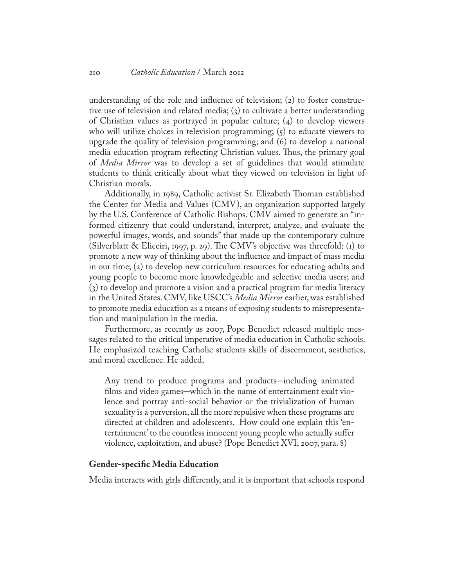understanding of the role and influence of television; (2) to foster constructive use of television and related media; (3) to cultivate a better understanding of Christian values as portrayed in popular culture; (4) to develop viewers who will utilize choices in television programming;  $(\zeta)$  to educate viewers to upgrade the quality of television programming; and (6) to develop a national media education program reflecting Christian values. Thus, the primary goal of *Media Mirror* was to develop a set of guidelines that would stimulate students to think critically about what they viewed on television in light of Christian morals.

Additionally, in 1989, Catholic activist Sr. Elizabeth Thoman established the Center for Media and Values (CMV), an organization supported largely by the U.S. Conference of Catholic Bishops. CMV aimed to generate an "informed citizenry that could understand, interpret, analyze, and evaluate the powerful images, words, and sounds" that made up the contemporary culture (Silverblatt & Eliceiri, 1997, p. 29). The CMV's objective was threefold: (1) to promote a new way of thinking about the influence and impact of mass media in our time; (2) to develop new curriculum resources for educating adults and young people to become more knowledgeable and selective media users; and (3) to develop and promote a vision and a practical program for media literacy in the United States. CMV, like USCC's *Media Mirror* earlier, was established to promote media education as a means of exposing students to misrepresentation and manipulation in the media.

Furthermore, as recently as 2007, Pope Benedict released multiple messages related to the critical imperative of media education in Catholic schools. He emphasized teaching Catholic students skills of discernment, aesthetics, and moral excellence. He added,

Any trend to produce programs and products–including animated films and video games–which in the name of entertainment exalt violence and portray anti-social behavior or the trivialization of human sexuality is a perversion, all the more repulsive when these programs are directed at children and adolescents. How could one explain this 'entertainment' to the countless innocent young people who actually suffer violence, exploitation, and abuse? (Pope Benedict XVI, 2007, para. 8)

## **Gender-specific Media Education**

Media interacts with girls differently, and it is important that schools respond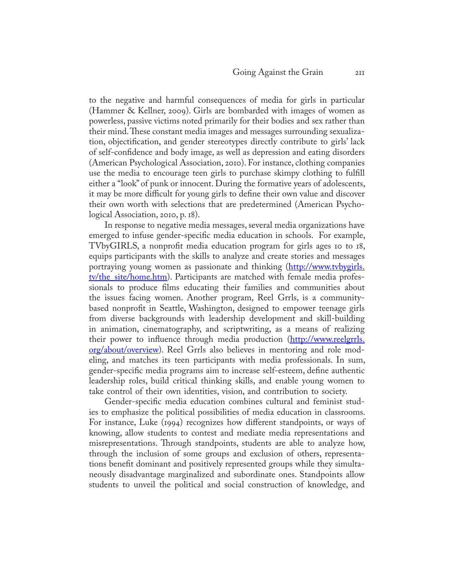to the negative and harmful consequences of media for girls in particular (Hammer & Kellner, 2009). Girls are bombarded with images of women as powerless, passive victims noted primarily for their bodies and sex rather than their mind. These constant media images and messages surrounding sexualization, objectification, and gender stereotypes directly contribute to girls' lack of self-confidence and body image, as well as depression and eating disorders (American Psychological Association, 2010). For instance, clothing companies use the media to encourage teen girls to purchase skimpy clothing to fulfill either a "look" of punk or innocent. During the formative years of adolescents, it may be more difficult for young girls to define their own value and discover their own worth with selections that are predetermined (American Psychological Association, 2010, p. 18).

In response to negative media messages, several media organizations have emerged to infuse gender-specific media education in schools. For example, TVbyGIRLS, a nonprofit media education program for girls ages 10 to 18, equips participants with the skills to analyze and create stories and messages portraying young women as passionate and thinking [\(http://www.tvbygirls.](http://www.tvbygirls.tv/the_site/home.htm) tv/the site/home.htm). Participants are matched with female media professionals to produce films educating their families and communities about the issues facing women. Another program, Reel Grrls, is a communitybased nonprofit in Seattle, Washington, designed to empower teenage girls from diverse backgrounds with leadership development and skill-building in animation, cinematography, and scriptwriting, as a means of realizing their power to influence through media production [\(http://www.reelgrrls.](http://www.reelgrrls.org/about/overview) [org/about/overview](http://www.reelgrrls.org/about/overview)). Reel Grrls also believes in mentoring and role modeling, and matches its teen participants with media professionals. In sum, gender-specific media programs aim to increase self-esteem, define authentic leadership roles, build critical thinking skills, and enable young women to take control of their own identities, vision, and contribution to society.

Gender-specific media education combines cultural and feminist studies to emphasize the political possibilities of media education in classrooms. For instance, Luke (1994) recognizes how different standpoints, or ways of knowing, allow students to contest and mediate media representations and misrepresentations. Through standpoints, students are able to analyze how, through the inclusion of some groups and exclusion of others, representations benefit dominant and positively represented groups while they simultaneously disadvantage marginalized and subordinate ones. Standpoints allow students to unveil the political and social construction of knowledge, and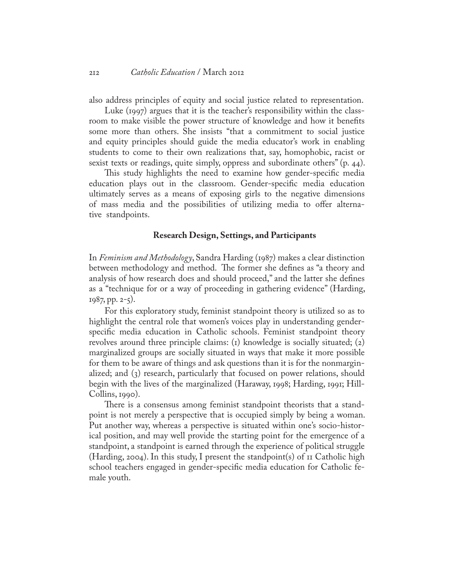also address principles of equity and social justice related to representation.

Luke (1997) argues that it is the teacher's responsibility within the classroom to make visible the power structure of knowledge and how it benefits some more than others. She insists ''that a commitment to social justice and equity principles should guide the media educator's work in enabling students to come to their own realizations that, say, homophobic, racist or sexist texts or readings, quite simply, oppress and subordinate others" (p. 44).

This study highlights the need to examine how gender-specific media education plays out in the classroom. Gender-specific media education ultimately serves as a means of exposing girls to the negative dimensions of mass media and the possibilities of utilizing media to offer alternative standpoints.

#### **Research Design, Settings, and Participants**

In *Feminism and Methodology*, Sandra Harding (1987) makes a clear distinction between methodology and method. The former she defines as "a theory and analysis of how research does and should proceed," and the latter she defines as a "technique for or a way of proceeding in gathering evidence" (Harding, 1987, pp. 2-5).

For this exploratory study, feminist standpoint theory is utilized so as to highlight the central role that women's voices play in understanding genderspecific media education in Catholic schools. Feminist standpoint theory revolves around three principle claims: (1) knowledge is socially situated; (2) marginalized groups are socially situated in ways that make it more possible for them to be aware of things and ask questions than it is for the nonmarginalized; and (3) research, particularly that focused on power relations, should begin with the lives of the marginalized (Haraway, 1998; Harding, 1991; Hill-Collins, 1990).

There is a consensus among feminist standpoint theorists that a standpoint is not merely a perspective that is occupied simply by being a woman. Put another way, whereas a perspective is situated within one's socio-historical position, and may well provide the starting point for the emergence of a standpoint, a standpoint is earned through the experience of political struggle (Harding, 2004). In this study, I present the standpoint(s) of 11 Catholic high school teachers engaged in gender-specific media education for Catholic female youth.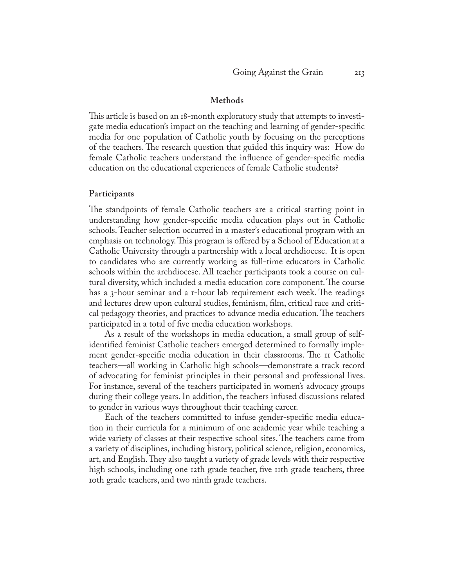#### **Methods**

This article is based on an 18-month exploratory study that attempts to investigate media education's impact on the teaching and learning of gender-specific media for one population of Catholic youth by focusing on the perceptions of the teachers. The research question that guided this inquiry was: How do female Catholic teachers understand the influence of gender-specific media education on the educational experiences of female Catholic students?

#### **Participants**

The standpoints of female Catholic teachers are a critical starting point in understanding how gender-specific media education plays out in Catholic schools. Teacher selection occurred in a master's educational program with an emphasis on technology. This program is offered by a School of Educationat a Catholic University through a partnership with a local archdiocese. It is open to candidates who are currently working as full-time educators in Catholic schools within the archdiocese. All teacher participants took a course on cultural diversity, which included a media education core component. The course has a 3-hour seminar and a 1-hour lab requirement each week. The readings and lectures drew upon cultural studies, feminism, film, critical race and critical pedagogy theories, and practices to advance media education. The teachers participated in a total of five media education workshops.

As a result of the workshops in media education, a small group of selfidentified feminist Catholic teachers emerged determined to formally implement gender-specific media education in their classrooms. The 11 Catholic teachers—all working in Catholic high schools—demonstrate a track record of advocating for feminist principles in their personal and professional lives. For instance, several of the teachers participated in women's advocacy groups during their college years. In addition, the teachers infused discussions related to gender in various ways throughout their teaching career.

Each of the teachers committed to infuse gender-specific media education in their curricula for a minimum of one academic year while teaching a wide variety of classes at their respective school sites. The teachers came from a variety of disciplines, including history, political science, religion, economics, art, and English. They also taught a variety of grade levels with their respective high schools, including one 12th grade teacher, five 11th grade teachers, three 10th grade teachers, and two ninth grade teachers.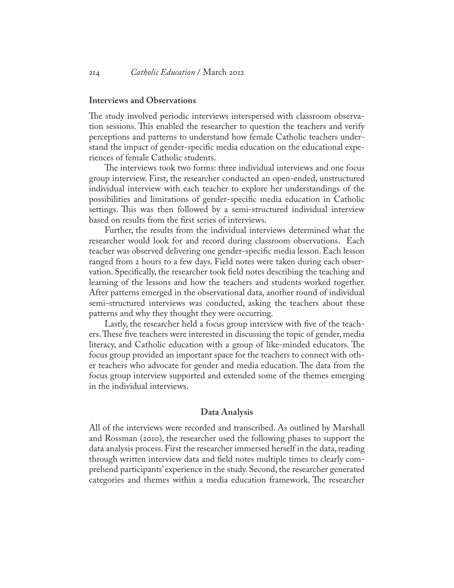#### **Interviews and Observations**

The study involved periodic interviews interspersed with classroom observation sessions. This enabled the researcher to question the teachers and verify perceptions and patterns to understand how female Catholic teachers understand the impact of gender-specific media education on the educational experiences of female Catholic students.

The interviews took two forms: three individual interviews and one focus group interview. First, the researcher conducted an open-ended, unstructured individual interview with each teacher to explore her understandings of the possibilities and limitations of gender-specific media education in Catholic settings. This was then followed by a semi-structured individual interview based on results from the first series of interviews.

Further, the results from the individual interviews determined what the researcher would look for and record during classroom observations. Each teacher was observed delivering one gender-specific media lesson. Each lesson ranged from 2 hours to a few days. Field notes were taken during each observation. Specifically, the researcher took field notes describing the teaching and learning of the lessons and how the teachers and students worked together. After patterns emerged in the observational data, another round of individual semi-structured interviews was conducted, asking the teachers about these patterns and why they thought they were occurring.

Lastly, the researcher held a focus group interview with five of the teachers. These five teachers were interested in discussing the topic of gender, media literacy, and Catholic education with a group of like-minded educators. The focus group provided an important space for the teachers to connect with other teachers who advocate for gender and media education. The data from the focus group interview supported and extended some of the themes emerging in the individual interviews.

## **Data Analysis**

All of the interviews were recorded and transcribed. As outlined by Marshall and Rossman (2010), the researcher used the following phases to support the data analysis process. First the researcher immersed herself in the data, reading through written interview data and field notes multiple times to clearly comprehend participants' experience in the study. Second, the researcher generated categories and themes within a media education framework. The researcher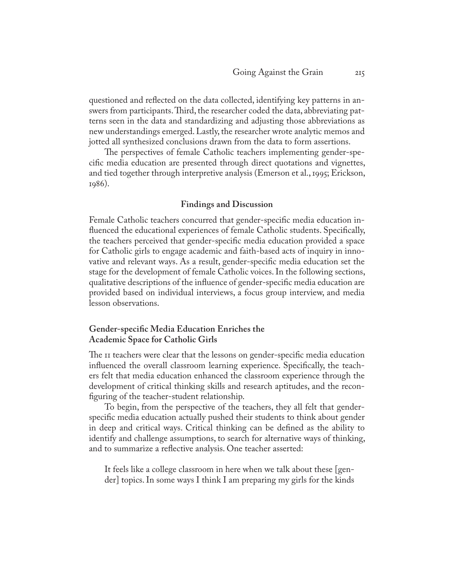questioned and reflected on the data collected, identifying key patterns in answers from participants. Third, the researcher coded the data, abbreviating patterns seen in the data and standardizing and adjusting those abbreviations as new understandings emerged. Lastly, the researcher wrote analytic memos and jotted all synthesized conclusions drawn from the data to form assertions.

The perspectives of female Catholic teachers implementing gender-specific media education are presented through direct quotations and vignettes, and tied together through interpretive analysis (Emerson et al., 1995; Erickson, 1986).

## **Findings and Discussion**

Female Catholic teachers concurred that gender-specific media education influenced the educational experiences of female Catholic students. Specifically, the teachers perceived that gender-specific media education provided a space for Catholic girls to engage academic and faith-based acts of inquiry in innovative and relevant ways. As a result, gender-specific media education set the stage for the development of female Catholic voices. In the following sections, qualitative descriptions of the influence of gender-specific media education are provided based on individual interviews, a focus group interview, and media lesson observations.

## **Gender-specific Media Education Enriches the Academic Space for Catholic Girls**

The 11 teachers were clear that the lessons on gender-specific media education influenced the overall classroom learning experience. Specifically, the teachers felt that media education enhanced the classroom experience through the development of critical thinking skills and research aptitudes, and the reconfiguring of the teacher-student relationship.

To begin, from the perspective of the teachers, they all felt that genderspecific media education actually pushed their students to think about gender in deep and critical ways. Critical thinking can be defined as the ability to identify and challenge assumptions, to search for alternative ways of thinking, and to summarize a reflective analysis. One teacher asserted:

It feels like a college classroom in here when we talk about these [gender] topics. In some ways I think I am preparing my girls for the kinds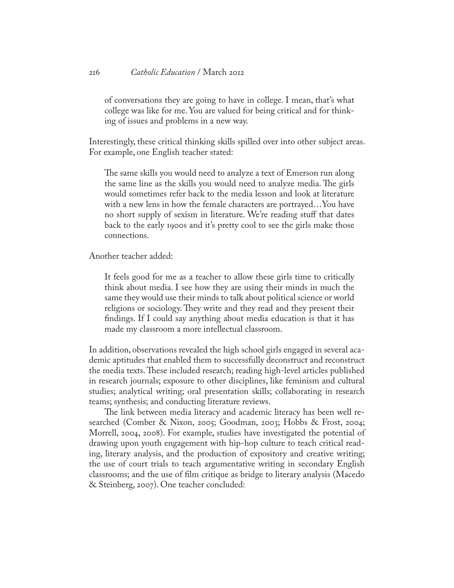of conversations they are going to have in college. I mean, that's what college was like for me. You are valued for being critical and for thinking of issues and problems in a new way.

Interestingly, these critical thinking skills spilled over into other subject areas. For example, one English teacher stated:

The same skills you would need to analyze a text of Emerson run along the same line as the skills you would need to analyze media. The girls would sometimes refer back to the media lesson and look at literature with a new lens in how the female characters are portrayed…You have no short supply of sexism in literature. We're reading stuff that dates back to the early 1900s and it's pretty cool to see the girls make those connections.

Another teacher added:

It feels good for me as a teacher to allow these girls time to critically think about media. I see how they are using their minds in much the same they would use their minds to talk about political science or world religions or sociology. They write and they read and they present their findings. If I could say anything about media education is that it has made my classroom a more intellectual classroom.

In addition, observations revealed the high school girls engaged in several academic aptitudes that enabled them to successfully deconstruct and reconstruct the media texts. These included research; reading high-level articles published in research journals; exposure to other disciplines, like feminism and cultural studies; analytical writing; oral presentation skills; collaborating in research teams; synthesis; and conducting literature reviews.

The link between media literacy and academic literacy has been well researched (Comber & Nixon, 2005; Goodman, 2003; Hobbs & Frost, 2004; Morrell, 2004, 2008). For example, studies have investigated the potential of drawing upon youth engagement with hip-hop culture to teach critical reading, literary analysis, and the production of expository and creative writing; the use of court trials to teach argumentative writing in secondary English classrooms; and the use of film critique as bridge to literary analysis (Macedo & Steinberg, 2007). One teacher concluded: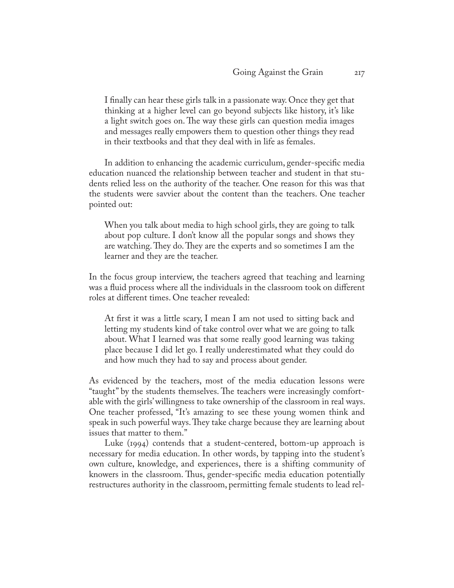I finally can hear these girls talk in a passionate way. Once they get that thinking at a higher level can go beyond subjects like history, it's like a light switch goes on. The way these girls can question media images and messages really empowers them to question other things they read in their textbooks and that they deal with in life as females.

In addition to enhancing the academic curriculum, gender-specific media education nuanced the relationship between teacher and student in that students relied less on the authority of the teacher. One reason for this was that the students were savvier about the content than the teachers. One teacher pointed out:

When you talk about media to high school girls, they are going to talk about pop culture. I don't know all the popular songs and shows they are watching. They do. They are the experts and so sometimes I am the learner and they are the teacher.

In the focus group interview, the teachers agreed that teaching and learning was a fluid process where all the individuals in the classroom took on different roles at different times. One teacher revealed:

At first it was a little scary, I mean I am not used to sitting back and letting my students kind of take control over what we are going to talk about. What I learned was that some really good learning was taking place because I did let go. I really underestimated what they could do and how much they had to say and process about gender.

As evidenced by the teachers, most of the media education lessons were "taught" by the students themselves. The teachers were increasingly comfortable with the girls' willingness to take ownership of the classroom in real ways. One teacher professed, "It's amazing to see these young women think and speak in such powerful ways. They take charge because they are learning about issues that matter to them."

Luke (1994) contends that a student-centered, bottom-up approach is necessary for media education. In other words, by tapping into the student's own culture, knowledge, and experiences, there is a shifting community of knowers in the classroom. Thus, gender-specific media education potentially restructures authority in the classroom, permitting female students to lead rel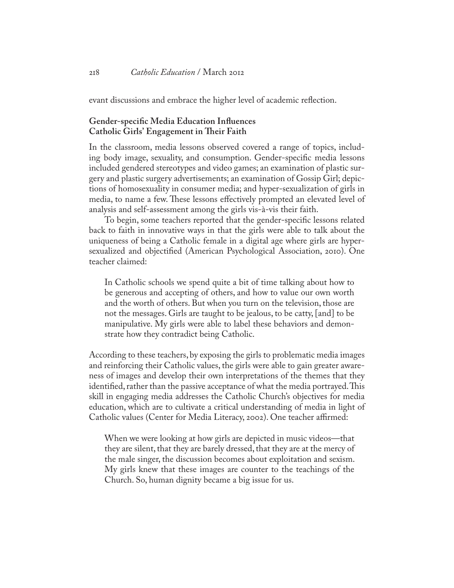evant discussions and embrace the higher level of academic reflection.

## **Gender-specific Media Education Influences Catholic Girls' Engagement in Their Faith**

In the classroom, media lessons observed covered a range of topics, including body image, sexuality, and consumption. Gender-specific media lessons included gendered stereotypes and video games; an examination of plastic surgery and plastic surgery advertisements; an examination of Gossip Girl; depictions of homosexuality in consumer media; and hyper-sexualization of girls in media, to name a few. These lessons effectively prompted an elevated level of analysis and self-assessment among the girls vis-à-vis their faith.

To begin, some teachers reported that the gender-specific lessons related back to faith in innovative ways in that the girls were able to talk about the uniqueness of being a Catholic female in a digital age where girls are hypersexualized and objectified (American Psychological Association, 2010). One teacher claimed:

In Catholic schools we spend quite a bit of time talking about how to be generous and accepting of others, and how to value our own worth and the worth of others. But when you turn on the television, those are not the messages. Girls are taught to be jealous, to be catty, [and] to be manipulative. My girls were able to label these behaviors and demonstrate how they contradict being Catholic.

According to these teachers, by exposing the girls to problematic media images and reinforcing their Catholic values, the girls were able to gain greater awareness of images and develop their own interpretations of the themes that they identified, rather than the passive acceptance of what the media portrayed. This skill in engaging media addresses the Catholic Church's objectives for media education, which are to cultivate a critical understanding of media in light of Catholic values (Center for Media Literacy, 2002). One teacher affirmed:

When we were looking at how girls are depicted in music videos—that they are silent, that they are barely dressed, that they are at the mercy of the male singer, the discussion becomes about exploitation and sexism. My girls knew that these images are counter to the teachings of the Church. So, human dignity became a big issue for us.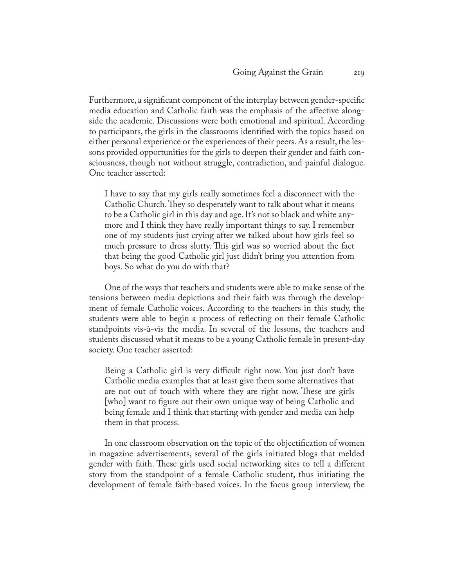Furthermore, a significant component of the interplay between gender-specific media education and Catholic faith was the emphasis of the affective alongside the academic. Discussions were both emotional and spiritual. According to participants, the girls in the classrooms identified with the topics based on either personal experience or the experiences of their peers. As a result, the lessons provided opportunities for the girls to deepen their gender and faith consciousness, though not without struggle, contradiction, and painful dialogue. One teacher asserted:

I have to say that my girls really sometimes feel a disconnect with the Catholic Church. They so desperately want to talk about what it means to be a Catholic girl in this day and age. It's not so black and white anymore and I think they have really important things to say. I remember one of my students just crying after we talked about how girls feel so much pressure to dress slutty. This girl was so worried about the fact that being the good Catholic girl just didn't bring you attention from boys. So what do you do with that?

One of the ways that teachers and students were able to make sense of the tensions between media depictions and their faith was through the development of female Catholic voices. According to the teachers in this study, the students were able to begin a process of reflecting on their female Catholic standpoints vis-à-vis the media. In several of the lessons, the teachers and students discussed what it means to be a young Catholic female in present-day society. One teacher asserted:

Being a Catholic girl is very difficult right now. You just don't have Catholic media examples that at least give them some alternatives that are not out of touch with where they are right now. These are girls [who] want to figure out their own unique way of being Catholic and being female and I think that starting with gender and media can help them in that process.

In one classroom observation on the topic of the objectification of women in magazine advertisements, several of the girls initiated blogs that melded gender with faith. These girls used social networking sites to tell a different story from the standpoint of a female Catholic student, thus initiating the development of female faith-based voices. In the focus group interview, the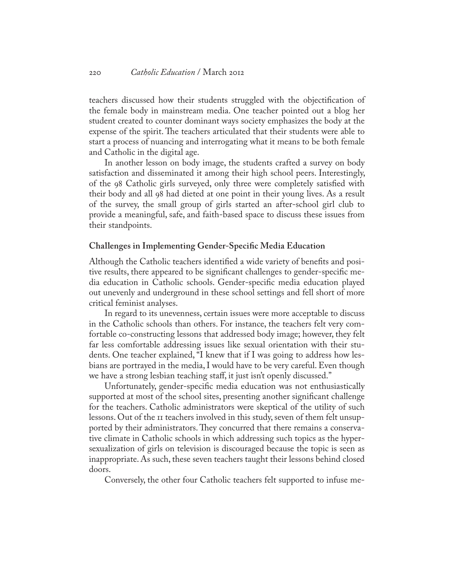teachers discussed how their students struggled with the objectification of the female body in mainstream media. One teacher pointed out a blog her student created to counter dominant ways society emphasizes the body at the expense of the spirit. The teachers articulated that their students were able to start a process of nuancing and interrogating what it means to be both female and Catholic in the digital age.

In another lesson on body image, the students crafted a survey on body satisfaction and disseminated it among their high school peers. Interestingly, of the 98 Catholic girls surveyed, only three were completely satisfied with their body and all 98 had dieted at one point in their young lives. As a result of the survey, the small group of girls started an after-school girl club to provide a meaningful, safe, and faith-based space to discuss these issues from their standpoints.

#### **Challenges in Implementing Gender-Specific Media Education**

Although the Catholic teachers identified a wide variety of benefits and positive results, there appeared to be significant challenges to gender-specific media education in Catholic schools. Gender-specific media education played out unevenly and underground in these school settings and fell short of more critical feminist analyses.

In regard to its unevenness, certain issues were more acceptable to discuss in the Catholic schools than others. For instance, the teachers felt very comfortable co-constructing lessons that addressed body image; however, they felt far less comfortable addressing issues like sexual orientation with their students. One teacher explained, "I knew that if I was going to address how lesbians are portrayed in the media, I would have to be very careful. Even though we have a strong lesbian teaching staff, it just isn't openly discussed."

Unfortunately, gender-specific media education was not enthusiastically supported at most of the school sites, presenting another significant challenge for the teachers. Catholic administrators were skeptical of the utility of such lessons. Out of the 11 teachers involved in this study, seven of them felt unsupported by their administrators. They concurred that there remains a conservative climate in Catholic schools in which addressing such topics as the hypersexualization of girls on television is discouraged because the topic is seen as inappropriate. As such, these seven teachers taught their lessons behind closed doors.

Conversely, the other four Catholic teachers felt supported to infuse me-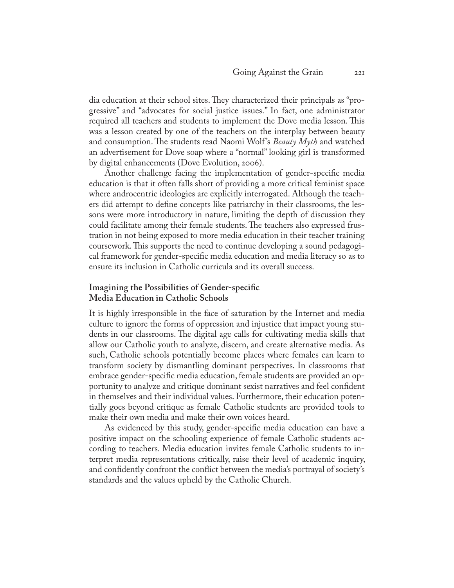dia education at their school sites. They characterized their principals as "progressive" and "advocates for social justice issues." In fact, one administrator required all teachers and students to implement the Dove media lesson. This was a lesson created by one of the teachers on the interplay between beauty and consumption. The students read Naomi Wolf 's *Beauty Myth* and watched an advertisement for Dove soap where a "normal" looking girl is transformed by digital enhancements (Dove Evolution, 2006).

Another challenge facing the implementation of gender-specific media education is that it often falls short of providing a more critical feminist space where androcentric ideologies are explicitly interrogated. Although the teachers did attempt to define concepts like patriarchy in their classrooms, the lessons were more introductory in nature, limiting the depth of discussion they could facilitate among their female students. The teachers also expressed frustration in not being exposed to more media education in their teacher training coursework. This supports the need to continue developing a sound pedagogical framework for gender-specific media education and media literacy so as to ensure its inclusion in Catholic curricula and its overall success.

## **Imagining the Possibilities of Gender-specific Media Education in Catholic Schools**

It is highly irresponsible in the face of saturation by the Internet and media culture to ignore the forms of oppression and injustice that impact young students in our classrooms. The digital age calls for cultivating media skills that allow our Catholic youth to analyze, discern, and create alternative media. As such, Catholic schools potentially become places where females can learn to transform society by dismantling dominant perspectives. In classrooms that embrace gender-specific media education, female students are provided an opportunity to analyze and critique dominant sexist narratives and feel confident in themselves and their individual values. Furthermore, their education potentially goes beyond critique as female Catholic students are provided tools to make their own media and make their own voices heard.

As evidenced by this study, gender-specific media education can have a positive impact on the schooling experience of female Catholic students according to teachers. Media education invites female Catholic students to interpret media representations critically, raise their level of academic inquiry, and confidently confront the conflict between the media's portrayal of society's standards and the values upheld by the Catholic Church.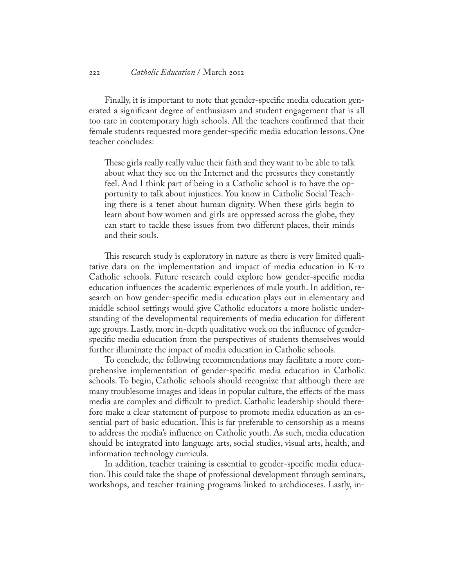Finally, it is important to note that gender-specific media education generated a significant degree of enthusiasm and student engagement that is all too rare in contemporary high schools. All the teachers confirmed that their female students requested more gender-specific media education lessons. One teacher concludes:

These girls really really value their faith and they want to be able to talk about what they see on the Internet and the pressures they constantly feel. And I think part of being in a Catholic school is to have the opportunity to talk about injustices. You know in Catholic Social Teaching there is a tenet about human dignity. When these girls begin to learn about how women and girls are oppressed across the globe, they can start to tackle these issues from two different places, their minds and their souls.

This research study is exploratory in nature as there is very limited qualitative data on the implementation and impact of media education in K-12 Catholic schools. Future research could explore how gender-specific media education influences the academic experiences of male youth. In addition, research on how gender-specific media education plays out in elementary and middle school settings would give Catholic educators a more holistic understanding of the developmental requirements of media education for different age groups. Lastly, more in-depth qualitative work on the influence of genderspecific media education from the perspectives of students themselves would further illuminate the impact of media education in Catholic schools.

To conclude, the following recommendations may facilitate a more comprehensive implementation of gender-specific media education in Catholic schools. To begin, Catholic schools should recognize that although there are many troublesome images and ideas in popular culture, the effects of the mass media are complex and difficult to predict. Catholic leadership should therefore make a clear statement of purpose to promote media education as an essential part of basic education. This is far preferable to censorship as a means to address the media's influence on Catholic youth. As such, media education should be integrated into language arts, social studies, visual arts, health, and information technology curricula.

In addition, teacher training is essential to gender-specific media education. This could take the shape of professional development through seminars, workshops, and teacher training programs linked to archdioceses. Lastly, in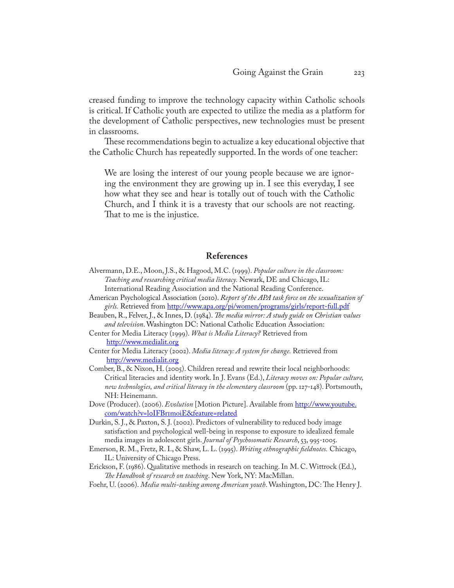creased funding to improve the technology capacity within Catholic schools is critical. If Catholic youth are expected to utilize the media as a platform for the development of Catholic perspectives, new technologies must be present in classrooms.

These recommendations begin to actualize a key educational objective that the Catholic Church has repeatedly supported. In the words of one teacher:

We are losing the interest of our young people because we are ignoring the environment they are growing up in. I see this everyday, I see how what they see and hear is totally out of touch with the Catholic Church, and I think it is a travesty that our schools are not reacting. That to me is the injustice.

## **References**

- Alvermann, D.E., Moon, J.S., & Hagood, M.C. (1999). *Popular culture in the classroom: Teaching and researching critical media literacy.* Newark, DE and Chicago, IL: International Reading Association and the National Reading Conference.
- American Psychological Association (2010). *Report of the APA task force on the sexualization of girls.* Retrieved from<http://www.apa.org/pi/women/programs/girls/report-full.pdf>
- Beauben, R., Felver, J., & Innes, D. (1984). *The media mirror: A study guide on Christian values and television*. Washington DC: National Catholic Education Association:
- Center for Media Literacy (1999). *What is Media Literacy?* Retrieved from <http://www.medialit.org>
- Center for Media Literacy (2002). *Media literacy: A system for change.* Retrieved from <http://www.medialit.org>
- Comber, B., & Nixon, H. (2005). Children reread and rewrite their local neighborhoods: Critical literacies and identity work. In J. Evans (Ed.), *Literacy moves on: Popular culture, new technologies, and critical literacy in the elementary classroom* (pp. 127-148). Portsmouth, NH: Heinemann.
- Dove (Producer). (2006). *Evolution* [Motion Picture]. Available from [http://www.youtube.](http://www.youtube.com/watch?v=l0IFBr1moiE&feature=related) [com/watch?v=l0IFBr1moiE&feature=related](http://www.youtube.com/watch?v=l0IFBr1moiE&feature=related)
- Durkin, S. J., & Paxton, S. J. (2002). Predictors of vulnerability to reduced body image satisfaction and psychological well-being in response to exposure to idealized female media images in adolescent girls. *Journal of Psychosomatic Research*, 53, 995-1005.
- Emerson, R. M., Fretz, R. I., & Shaw, L. L. (1995). *Writing ethnographic fieldnotes.* Chicago, IL: University of Chicago Press.

Erickson, F. (1986). Qualitative methods in research on teaching. In M. C. Wittrock (Ed.), *The Handbook of research on teaching*. New York, NY: MacMillan.

Foehr, U. (2006). *Media multi-tasking among American youth*. Washington, DC: The Henry J.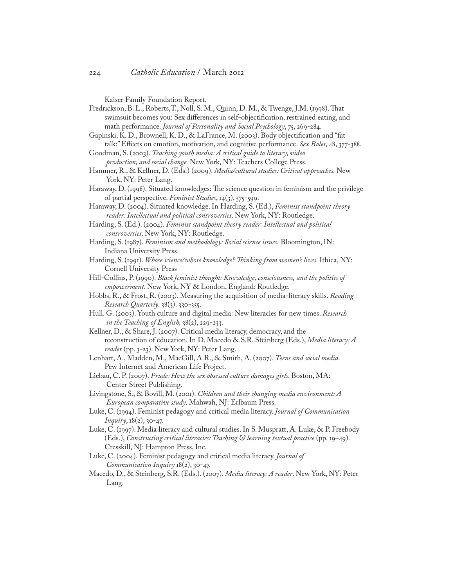Kaiser Family Foundation Report.

- Fredrickson, B. L., Roberts,T., Noll, S. M., Quinn, D. M., & Twenge, J.M. (1998). That swimsuit becomes you: Sex differences in self-objectification, restrained eating, and math performance. *Journal of Personality and Social Psychology*, 75, 269-284.
- Gapinski, K. D., Brownell, K. D., & LaFrance, M. (2003). Body objectification and "fat talk:" Effects on emotion, motivation, and cognitive performance. *Sex Roles*, 48, 377-388.
- Goodman, S. (2003). *Teaching youth media: A critical guide to literacy, video production, and social change.* New York, NY: Teachers College Press.
- Hammer, R., & Kellner, D. (Eds.) (2009). *Media/cultural studies: Critical approaches.* New York, NY: Peter Lang.
- Haraway, D. (1998). Situated knowledges: The science question in feminism and the privilege of partial perspective. *Feminist Studies*, 14(3), 575-599.
- Haraway, D. (2004). Situated knowledge. In Harding, S. (Ed.), *Feminist standpoint theory reader: Intellectual and political controversies*. New York, NY: Routledge.
- Harding, S. (Ed.). (2004). *Feminist standpoint theory reader: Intellectual and political controversies*. New York, NY: Routledge.
- Harding, S. (1987). *Feminism and methodology: Social science issues.* Bloomington, IN: Indiana University Press.
- Harding, S. (1991). *Whose science/whose knowledge? Thinking from women's lives.* Ithica, NY: Cornell University Press
- Hill-Collins, P. (1990). *Black feminist thought: Knowledge, consciousness, and the politics of empowerment*. New York, NY & London, England: Routledge.
- Hobbs, R., & Frost, R. (2003). Measuring the acquisition of media-literacy skills. *Reading Research Quarterly*. 38(3). 330-355.
- Hull. G. (2003). Youth culture and digital media: New literacies for new times. *Research in the Teaching of English,* 38(2), 229-233.
- Kellner, D., & Share, J. (2007). Critical media literacy, democracy, and the reconstruction of education. In D. Macedo & S.R. Steinberg (Eds.), *Media literacy: A reader* (pp. 3-23). New York, NY: Peter Lang.
- Lenhart, A., Madden, M., MacGill, A.R., & Smith, A. (2007). *Teens and social media*. Pew Internet and American Life Project.
- Liebau, C. P. (2007). *Prude: How the sex obsessed culture damages girls*. Boston, MA: Center Street Publishing.
- Livingstone, S., & Bovill, M. (2001). *Children and their changing media environment: A European comparative study*. Mahwah, NJ: Erlbaum Press.
- Luke, C. (1994). Feminist pedagogy and critical media literacy. *Journal of Communication Inquiry*, 18(2), 30-47.
- Luke, C. (1997). Media literacy and cultural studies. In S. Muspratt, A. Luke, & P. Freebody (Eds.), *Constructing critical literacies: Teaching & learning textual practice* (pp. 19–49). Cresskill, NJ: Hampton Press, Inc.
- Luke, C. (2004). Feminist pedagogy and critical media literacy. *Journal of Communication Inquiry* 18(2), 30-47.
- Macedo, D., & Steinberg, S.R. (Eds.). (2007). *Media literacy: A reader*. New York, NY: Peter Lang.